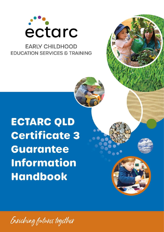

## **EARLY CHILDHOOD EDUCATION SERVICES & TRAINING**

# **ECTARC QLD Certificate 3 Guarantee Information Handbook**

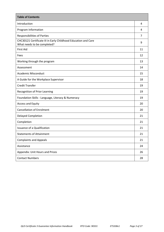| <b>Table of Contents</b>                                                                      |    |  |  |
|-----------------------------------------------------------------------------------------------|----|--|--|
| Introduction                                                                                  | 4  |  |  |
| Program Information                                                                           | 4  |  |  |
| <b>Responsibilities of Parties</b>                                                            | 7  |  |  |
| CHC30121 Certificate III in Early Childhood Education and Care<br>What needs to be completed? | 9  |  |  |
| <b>First Aid</b>                                                                              | 11 |  |  |
| Fees                                                                                          | 12 |  |  |
| Working through the program                                                                   | 13 |  |  |
| Assessment                                                                                    | 14 |  |  |
| <b>Academic Misconduct</b>                                                                    | 15 |  |  |
| A Guide for the Workplace Supervisor                                                          | 18 |  |  |
| <b>Credit Transfer</b>                                                                        | 19 |  |  |
| Recognition of Prior Learning                                                                 | 19 |  |  |
| Foundation Skills - Language, Literacy & Numeracy                                             | 19 |  |  |
| Access and Equity                                                                             | 20 |  |  |
| <b>Cancellation of Enrolment</b>                                                              | 20 |  |  |
| <b>Delayed Completion</b>                                                                     | 21 |  |  |
| Completion                                                                                    | 21 |  |  |
| <b>Issuance of a Qualification</b>                                                            | 21 |  |  |
| <b>Statements of Attainment</b>                                                               | 21 |  |  |
| <b>Complaints and Appeals</b>                                                                 | 21 |  |  |
| Assistance                                                                                    | 24 |  |  |
| Appendix: Unit Hours and Prices                                                               | 26 |  |  |
| <b>Contact Numbers</b>                                                                        | 28 |  |  |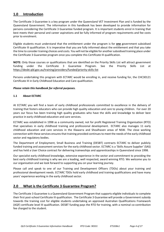## **1.0 Introduction**

The Certificate 3 Guarantee is a key program under the Queensland VET Investment Plan and is funded by the Queensland Government. The information in this handbook has been developed to provide information for persons considering the Certificate 3 Guarantee funded program. It is important students enrol in training that best meets their personal and career aspirations and be fully informed of program requirements and fee costs prior to enrolment.

Eligible students must understand that the entitlement under the program is for **one** government subsidised Certificate III qualification. It is imperative that you are fully informed about the entitlement and that you take the time to consider training choices and costs. You will not be eligible for another subsidised training place under the Certificate 3 Guarantee program once you complete this Certificate III qualification.

**NOTE:** Only those courses or qualifications that are identified on the Priority Skills List will attract government funding under the Certificate 3 Guarantee Program. See the Priority Skills List at [https://desbt.qld.gov.au/training/](https://desbt.qld.gov.au/training)providers/funded/priority-skills-list

Persons undertaking this program with ECTARC would be enrolling in, and receive funding for, the CHC30121 Certificate III in Early Childhood Education and Care qualification.

#### *Please retain this handbook for referral purposes.*

#### **1.1 About ECTARC**

At ECTARC you will find a team of early childhood professionals committed to excellence in the delivery of training that fosters educators who can provide high quality education and care to young children. For over 20 years our focus has been training high quality graduates who have the skills and knowledge to deliver best practice in early childhood education and care services.

ECTARC was established in 1998 as a community owned, not for profit Registered Training Organisation (RTO) that specialises in early childhood training and professional development. ECTARC also manages 11 early childhood education and care services in the Illawarra and Shoalhaven areas of NSW. The close working connection with these services ensuresthat training provided continues to meet the needs of the early childhood sector and regulatory bodies.

The Department of Employment, Small Business and Training (DESBT) contracts ECTARC to deliver publicly funded training and assessment services for the early childhood sector. ECTARC is a 'Skills Assure Supplier' (SAS) and has held a User Choice contract for delivering traineeships and apprenticeships in Queensland since 1998.

Our specialist early childhood knowledge, extensive experience in the sector and commitment to providing the best early childhood training is why we are a leading, well respected, award winning RTO. We welcome you to our organisation and we look forward to supporting you on your learning journey.

Please call and speak to one of our Training and Development Officers (TDOs) about your training and professional development needs. ECTARC TDOs hold early childhood and training qualifications and have many years' experience working in the early childhood sector.

## **2.0 What is the Certificate 3 Guarantee Program?**

The Certificate 3 Guarantee is a Queensland Government Program that supports eligible individuals to complete their first post-school Certificate III qualification. The Certificate 3 Guarantee will provide a Government subsidy towards the training cost for eligible students undertaking an approved Australian Qualifications Framework (AQF) certificate level III qualification. DESBT funding pays the RTO for training, with a nominal co-contribution fee charged to the student.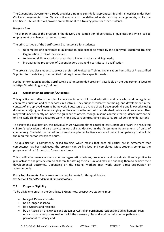The Queensland Government already provides a training subsidy for apprenticeship and traineeships under User Choice arrangements. User Choice will continue to be delivered under existing arrangements, while the Certificate 3 Guarantee will provide an entitlement to a training place for other students.

#### **Program Aim**

The primary intent of the program is the delivery and completion of certificate III qualifications which lead to employment or enhanced career outcomes.

The principal goals of the Certificate 3 Guarantee are for students:

- to complete one certificate III qualification post-school delivered by the approved Registered Training Organisation (RTO) of their choice;
- to develop skills in vocational areas that align with industry skilling needs;
- increasing the proportion of Queenslanders that hold a certificate III qualification

The program enables students to select a preferred Registered Training Organisation from a list of Pre-qualified Suppliers for the delivery of accredited training to meet their specific needs.

Further information about the Certificate 3 Guarantee funded program is available on the Department's website at [https://desbt.qld.gov.au/training](https://desbt.qld.gov.au/training/providers/funded/certificate3)

#### **2.1 Qualification Description/Outcomes:**

This qualification reflects the role of educators in early childhood education and care who work in regulated children's education and care services in Australia. They support children's wellbeing, and development in the context of an approved learning framework. Educators use a range of well-developed skills and knowledge using discretion and judgment when carrying out their work in the context of established policies and procedures. They may work independently or under the guidance of others, though in some contexts that guidance may not be on-site. Early childhood educators work in long day care centres, family day care, pre-schools or kindergartens.

To achieve this qualification, the individual must have completed a total of least 160 hours of work in a regulated children's education and care service in Australia as detailed in the Assessment Requirements of units of competency. The total number of hours may be applied collectively across all units of competency that include the requirement for workplace hours.

The qualification is competency based training, which means that once all parties are in agreement that competency has been achieved, the program can be finalised and completed. Most students complete the program within a 18 month to 2 year time frame.

This qualification covers workers who use organisation policies, procedures and individual children's profiles to plan activities and provide care to children, facilitating their leisure and play and enabling them to achieve their developmental outcomes. Depending on the setting, workers may work under direct supervision or autonomously.

**Entry Requirements:** There are no entry requirements for this qualification. *See Section 4 for further details of the qualification.* 

#### **2.2 Program Eligibility**

To be eligible to enrol in the Certificate 3 Guarantee, prospective students must:

- be aged 15 years or older
- be no longer at school
- be a Queensland resident
- be an Australian or New Zealand citizen or Australian permanent resident (including humanitarian entrants), or a temporary resident with the necessary visa and work permits on the pathway to permanent residency and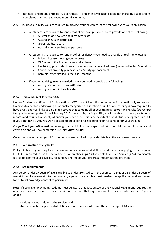- not hold, and not be enrolled in, a certificate III or higher-level qualification, not including qualifications completed at school and foundation skills training.
- **2.2.1** To prove eligibility you are required to provide 'verified copies' of the following with your application:
	- All students are required to send proof of citizenship you need to provide **one** of the following:
		- Australian or New Zealand Birth certificate
		- Australian Citizen certificate
		- Green Medicare card
		- Australian or New Zealand passport
	- All students are required to send proof of residency you need to provide **one** of the following:
		- Driver's license showing your address
		- QLD rates notice in your name and address
		- Electricity, gas or telephone account in your name and address (issued in the last 6 months)
		- Contract of property purchase/lease/mortgage documents
		- Bank statement issued in the last 6 months
	- If you are applying **in your married** name you need to provide the following:
		- A copy of your marriage certificate
		- A copy of your birth certificate

#### **2.2.2 Unique Student Identifier (USI)**

Unique Student Identifier or 'USI' is a national VET student identification number for all nationally recognised training. Any person undertaking a nationally recognised qualification or unit of competency is now required to have a USI. Your USI links to an online account that contains all of your training records and results (transcript) that you have completed from 1 January 2015 onwards. By having a USI you will be able to access your training records and results (transcript) whenever you need them. It is very important that all students register for a USI. If you don't have a USI, you won't be able to proceed to receive funding or recognition for your training.

*For further information visit:* www.usi.gov.au and follow the steps to obtain your USI number. It is quick and easy to do and will look something like this: **5NW87ZL1P2**

Once you have obtained your USI number you are required to provide details at the enrolment process.

#### **2.2.3 Confirmation of eligibility**

Policy of this program requires that we gather evidence of eligibility for all persons applying to participate. ECTARC is required to use the department's Apprenticeships / All Students Info – Self Service (AISS) tool/search facility to confirm your eligibility for funding and report your progress throughout the program.

#### **2.2.4 Age requirements**

Any person under 17 years of age is eligible to undertake studies in the course. If a student is under 18 years of age at time of enrolment into the program, a parent or guardian must co-sign the application and enrolment forms to acknowledge consent to participate.

**Note:** If seeking employment, students must be aware that Section 120 of the National Regulations requires the approved provider of a centre-based service must ensure that any educator at the service who is under 18 years of age:

- (a) does not work alone at the service; and
- (b) is adequately supervised at all times by an educator who has attained the age of 18 years.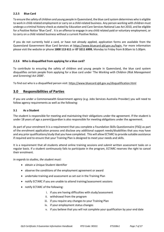#### **2.2.5 Blue Card**

To ensure the safety of children and young people in Queensland, the blue card system determines who is eligible to work in child-related employment or carry on a child-related business. Any person working with children must undergo a criminal history check as stated by Education and Care Services National Law Act 2010, and be eligible for a Positive Notice 'Blue Card'. It is an offence to engage in any child related paid or voluntary employment, or to carry on a child related business without a current Positive Notice.

If you do not currently hold a card, or have not already applied, application forms are available from the Queensland Government Blue Card Services at https:/[/www.bluecard.qld.gov.au/](http://www.bluecard.qld.gov.au/)login. For more information please visit the website or phone **1800 113 611** or **07 3211 6999**, Monday to Friday from 8:00am to 5.00pm.

#### **2.2.6 Who is disqualified from applying for a blue card?**

To contribute to ensuring the safety of children and young people in Queensland, the blue card system disqualifies certain people from applying for a blue card under 'The *Working with Children (Risk Management and Screening) Act 2000*'.

To find out who is a disqualified person visit[: https://www.bluecard.qld.gov.au/disqualification.html](https://www.bluecard.qld.gov.au/disqualification.html)

### **3.0 Responsibilities of Parties**

If you are under a Commonwealth Government agency (e.g. Jobs Services Australia Provider) you will need to follow agency requirements as well as the following:

#### **3.1 As a Student**

The student is responsible for meeting and maintaining their obligations under the agreement. If the student is under 18 years of age a parent/guardian is also responsible for meeting obligations under the agreement.

As part of your enrolment it is a requirement that you complete a Foundation Skills Questionnaire (FSQ) as part of the enrolment application process and disclose any additional support needs/disabilities that you may have and any prior qualifications/study that you have completed. This will allow ECTARC to provide suitable assistance if required and to ensure that your Training Plan is designed to meet your needs and skills.

It is a requirement that all students attend online training sessions and submit written assessment tasks on a regular basis. If a student continuously fails to participate in the program, ECTARC reserves the right to cancel their enrolment.

*In regards to studies, the student must:*

- obtain a Unique Student Identifier
- observe the conditions of the employment agreement or award
- undertake training and assessment as set out in the Training Plan
- notify ECTARC if you are unable to attend training/assessment sessions
- notify ECTARC of the following:
	- i. if you are having difficulties with study/assessment
	- ii. withdrawal from the program
	- iii. if you require any changes to your Training Plan
	- iv. if your employment status changes
	- v. if you believe that you will not complete your qualification by your end date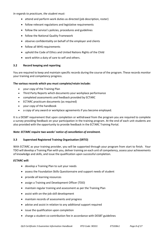*In regards to practicum, the student must:*

- attend and perform work duties as directed (job description, roster)
- follow relevant regulations and legislative requirements
- follow the service's policies, procedures and guidelines
- follow the National Quality Framework
- observe confidentiality on behalf of the employer and clients
- follow all WHS requirements
- uphold the Code of Ethics and United Nations Rights of the Child
- work within a duty of care to self and others.

#### **3.2 Record keeping and reporting**

You are required to keep and maintain specific records during the course of the program. These records monitor your training and competency progress.

#### **The various records which you must complete/retain include:**

- your copy of the Training Plan
- Third Party Reports which documents your workplace performance
- completed assessments and feedback provided by ECTARC
- ECTARC practicum documents (as required)
- your copy of the handbook
- a copy of any award or workplace agreements if you become employed.

It is a DESBT requirement that upon completion or withdrawal from the program you are required to complete a survey providing feedback on your participation in the training program. At the end of each unit students are also provided with the opportunity to provide feedback in the ECTARC Training Portal.

#### *Note: ECTARC require two weeks' notice of cancellation of enrolment.*

#### **3.3 Supervised Registered Training Organisation (SRTO)**

With ECTARC as your training provider, you will be supported through your program from start to finish. Your TDO will develop a Training Plan with you, deliver training on each unit of competency, assess your achievements of knowledge and skills, and issue the qualification upon successful completion.

#### *ECTARC will:*

- develop a Training Plan to suit your needs
- assess the Foundation Skills Questionnaire and support needs of student
- provide all learning resources
- assign a Training and Development Officer (TDO)
- maintain regular training and assessment as per the Training Plan
- assist with on-the-job skill development
- maintain records of assessments and progress
- advise and assist in relation to any additional support required
- issue the qualification upon completion
- charge a student co-contribution fee in accordance with DESBT guidelines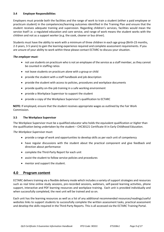#### **3.4 Employer Responsibilities**

Employers must provide both the facilities and the range of work to train a student (either a paid employee or practicum student) in the competencies/learning outcomes identified in the Training Plan and ensure that the student receives adequate training and supervision. Regarding children's services, facilities would mean the service itself i.e. a regulated education and care service, and range of work means the student works with the children and not as a support worker (e.g. the cook, cleaner or bus driver).

Students must have the ability to work with a minimum of three children in each age group (Birth-23 months, 2-3 years, 3-5 years) to gain the learning experience required and complete assessment requirements. If you are unsure of your ability to work within these please contact ECTARC to discuss your situation.

#### *The employer must:*

- not use students on practicum who is not an employee of the service as a staff member, as they cannot be counted in staffing ratios
- not leave students on practicum alone with a group or child
- provide the student with a staff handbook and job description
- provide the student with access to policies, procedures and workplace documents
- provide quality on-the-job training in a safe working environment
- provide a Workplace Supervisor to support the student
- provide a copy of the Workplace Supervisor's qualification to ECTARC

**NOTE***:* If employed, ensure that the student receives appropriate wages as outlined by the Fair Work Commission.

#### **3.5 The Workplace Supervisor**

The Workplace Supervisor must be a qualified educator who holds the equivalent qualification *or higher* than the qualification being undertaken by the student – CHC30121 Certificate III in Early Childhood Education.

*The Workplace Supervisor must:*

- provide a range of work and opportunities to develop skills as per each unit of competency
- have regular discussions with the student about the practical component and give feedback and direction about performance
- complete the Third-Party Report for each unit
- assist the student to follow service policies and procedures
- mentor and support the student.

#### **4.0 Program content**

ECTARC delivers training via a flexible delivery mode which includes a variety of support strategies and resources such as real time online study sessions, pre-recorded sessions, webinars, self-paced learning activities, phone support, interactive and PDF learning resources and workplace training. Each unit is provided individually and when successfully completed, the next unit will be trained and so on.

Each unit has the learning resources as well as a list of any additional recommended resources/readings/useful websites links to support students to successfully complete the written assessment tasks, practical assessment and develop the skills required in the Third-Party Reports. This is all accessed via the ECTARC Training Portal.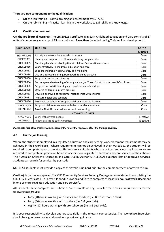#### **There are two components to the qualification:**

- Off-the-job training Formal training and assessment by ECTARC.
- On-the-job training Practical learning in the workplace to gain skills and knowledge.

#### **4.1 Qualification content**

**Off-the-job (Formal learning):** The CHC30121 Certificate III in Early Childhood Education and Care consists of 17 units of competency made up of **15 core** units and **2 electives** (selected during Training Plan development).

| <b>Unit Codes</b>          | <b>Unit Title</b>                                                                     | Core /<br><b>Elective</b> |  |
|----------------------------|---------------------------------------------------------------------------------------|---------------------------|--|
| HLTWHS001                  | Participate in workplace health and safety                                            | Core                      |  |
| CHCPRT001                  | Identify and respond to children and young people at risk                             | Core                      |  |
| CHCECE055                  | Meet legal and ethical obligations in children's education and care                   | Core                      |  |
| CHCECE056                  | Work effectively in children's education and care                                     | Core                      |  |
| CHCECE031                  | Support children's health, safety and wellbeing                                       | Core                      |  |
| CHCECE034                  | Use an approved learning framework to guide practice                                  | Core                      |  |
| CHCECE030                  | Support inclusion and diversity                                                       | Core                      |  |
| CHCECE054                  | Encourage understanding of Aboriginal and/or Torres Strait Islander people's cultures | Core                      |  |
| CHCECE035                  | Support the holistic learning and development of children                             | Core                      |  |
| CHCECE038                  | Observe children to inform practice                                                   | Core                      |  |
| CHCECE033                  | Develop positive and respectful relationships with children                           | Core                      |  |
| CHCECE032                  | Nurture babies and toddlers                                                           | Core                      |  |
| CHCECE036                  | Provide experiences to support children's play and learning                           | Core                      |  |
| CHCECE037                  | Support children to connect with the natural environment                              | Core                      |  |
| HLTAID012                  | Provide First Aid in an education and care setting                                    | Core                      |  |
| <b>Electives - 2 units</b> |                                                                                       |                           |  |
| CHCDIV001                  | Work with diverse people                                                              | Elective                  |  |
| HLTFSE001                  | Follow basic food safety practices                                                    | Elective                  |  |

*Please note that other electives can be chosen if they meet the requirements of the training package.* 

#### **4.2 On the job learning**

Where the student is employed in a regulated education and care setting, work placement requirements may be achieved in their workplace. Where requirements cannot be achieved in their workplace, the student will be required to complete a practicum at a different service. Students who are not currently working in a service are required to complete all practicum hours in one or more regulated education and care services of their choice. The Australian Children's Education and Care Quality Authority (ACECQA) publishes lists of approved services. Students can search for services by postcode.

**NOTE:** All students must provide a copy of their valid Blue Card prior to the commencement of any Practicum.

**On-the-job (in the workplace):** The CHC Community Services Training Package requires students completing the CHC30121 Certificate III in Early Childhood Education and Care to complete at least **160 hours of work placement** in one or more regulated education and care service/s.

ALL students must complete and submit a Practicum Hours Log Book for their course requirements for the following age groups:

- forty (40) hours working with babies and toddlers (i.e. Birth-23 month olds);
- forty (40) hours working with toddlers (i.e. 2-3 year olds);
- eighty (80) hours working with pre-schoolers (i.e. 3-5 year olds).

It is your responsibility to develop and practice skills in the relevant competencies. The Workplace Supervisor should be a good role model and provide support and guidance.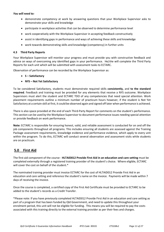#### *You will need to:*

- demonstrate competency at work by answering questions that your Workplace Supervisor asks to demonstrate your skills and knowledge
- participate in workplace activities that can be observed to determine performance level
- work cooperatively with the Workplace Supervisor in accepting feedback constructively
- assist in identifying gaps in performance and ways of achieving these skills and knowledge
- work towards demonstrating skills and knowledge (competency) in further units

#### **4.3 Third Party Reports**

Your Workplace Supervisor will monitor your progress and must provide you with constructive feedback and advice on ways of overcoming any identified gaps in your performance. He/she will complete the Third Party Reports for each unit which will be submitted with assessment tasks to ECTARC.

Observation of performance can be recorded by the Workplace Supervisor as:

- **S – Satisfactory**
- **NYS – Not Yet Satisfactory**

To be considered Satisfactory, students must demonstrate required skills **consistently,** and **to the standard required**. Feedback and training must be provided for any elements that receive a NYS outcome. Workplace Supervisors must alert the student and ECTARC TDO of any competencies that need special attention. Work placement requirements outline a minimum number of practicum hours however, if the student is Not Yet Satisfactory at a certain skill at first, it could be observed again and signed off later when performance is achieved.

There is also space provided at the end of each Third-Party Report for comments on the student's performance. This section can be used by the Workplace Supervisor to document performance issues needing special attention or provide feedback on work performance.

**Note:** ECTARC is responsible for ensuring honest, valid, and reliable assessment is conducted for on and off the job components throughout all programs. This includes ensuring all students are assessed against the Training Package assessment requirements, knowledge evidence and performance evidence, which apply to every unit within the program. To do this, ECTARC will conduct several observation and assessment visits while students are on practicum.

## **5.0 First Aid**

The first aid component of the course - **HLTAID012 Provide First Aid in an education and care setting** must be completed externally through a registered training provider of the student's choice. Where eligible, ECTARC will cover the cost on behalf of the student.\*

The nominated training provider must invoice ECTARC for the cost of HLTAID012 Provide First Aid in an education and care setting and reference the student's name on the invoice. Payments will be made within 7 days of receiving the invoice.

Once the course is completed, a certified copy of the First Aid Certificate must be provided to ECTARC to be added to the student's records as a Credit Transfer.

\*Please note: If you have previously completed HLTAID012 Provide First Aid in an education and care setting as part of a program that has been funded by Qld Government, and need to update this throughout your enrolment period, this unit will not be eligible for funding. This means you will be required to pay the costs associated with this training directly to the external training provider as per their fees and charges.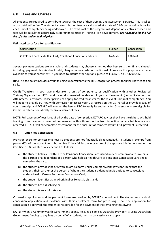## **6.0 Fees and Charges**

All students are required to contribute towards the cost of their training and assessment services. This is called a co-contribution fee. The student co-contribution fees are calculated at a rate of 0.65c per nominal hour for each unit of competency being undertaken. The exact cost of the program will depend on electives chosen and fees will be calculated accordingly as per units selected in Training Plan development. *See Appendix for the full list of units and individual prices.*

#### **Estimated costs for a full qualification:**

| Qualification                                                  | <b>Full fee</b> | Concession |
|----------------------------------------------------------------|-----------------|------------|
| CHC30121 Certificate III in Early Childhood Education and Care | \$720.20        | \$288.08   |

Several payment options are available, and students may choose a method that best suits their financial needs including; payment plan via direct debit, cheque, money order or credit card. Forms for this purpose are made available to you at enrolment. If you need to discuss other options, please call ECTARC on 07 3290 2966**.**

**RPL:** This fee policy includes any units being undertaken via the RPL recognition process for prior knowledge and skills.

**Credit Transfer:** If you have undertaken a unit of competency or qualification with another Registered Training Organisation (RTO) and have documented evidence of your achievement (i.e. a Statement of Attainment/Certificate/Transcript) you can apply for credit transfer for the relevant unit(s) of competency. You will need to provide ECTARC with permission to access your USI records on the USI Portal or provide a copy of your transcript and ECTARC will contact the issuing RTO to verify its authenticity. Students who are eligible for Credit Transfer automatically receive a waiver of fees.

**NOTE:** Full payment of fees is required by the date of completion. ECTARC advises they have the right to withhold training if fee payments have not commenced within three months from induction. Where full fees are not received, ECTARC will not complete assessment for the final unit of competency until full payment is received.

#### **6.1 Tuition Fee Concessions**

Provision exists for concessional fees so students are not financially disadvantaged. A student is exempt from paying 60% of the student contribution fee if they fall into one or more of the approved definitions under the Certificate 3 Guarantee Policy defined as follows:

- a) the student holds a Health Care or Pensioner Concession Card issued under Commonwealth law, or is the partner or a dependant of a person who holds a Health Care or Pensioner Concession Card and is named on the card;
- b) the student provides the SAS with an official form under Commonwealth law confirming that the student, their partner or the person of whom the student is a dependant is entitled to concessions under a Health Care or Pensioner Concession Card;
- c) the student identifies as an Aboriginal or Torres Strait Islander;
- d) the student has a disability; or
- e) the student is an adult prisoner.

Concession application and fee payment forms are provided by ECTARC at enrolment. The student must submit concession application and evidence with their enrolment form for processing. Once the application for concession is approved, the student is responsible for the payment of the remaining fees owing.

**NOTE:** When a Commonwealth Government agency (e.g. Job Services Australia Provider) is using Australian Government funding to pay fees on behalf of a student, then no concessions can apply.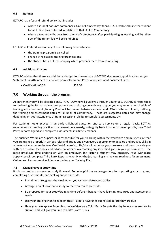#### **6.2 Refunds**

ECTARC has a fee and refund policy that includes:

- where a student does not commence a Unit of Competency, then ECTARC will reimburse the student for all tuition fees collected in relation to that Unit of Competency
- where a student withdraws from a unit of competency after participating in learning activity, then 50% of the tuition fee will be reimbursed.

ECTARC will refund fees for any of the following circumstances:

- the training program is cancelled
- change of registered training organisations
- the student has an illness or injury which prevents them from completing.

#### **6.3 Additional Charges**

ECTARC advises that there are additional charges for the re-issue of ECTARC documents, qualifications and/or Statements of Attainment due to loss or misplacement. Prices of replacement documents are:

• Qualification/SOA \$55.00

#### **7.0 Working through the program**

At enrolment you will be allocated an ECTARC TDO who will guide you through your study. ECTARC is responsible for delivering the formal training component and assisting you with any support you may require. A schedule of training and assessment (Training Plan) will be devised between yourself and ECTARC after enrolment, outlining the training and assessment dates for all units of competency. These are suggested dates and may change depending on your attendance at training sessions, ability to complete assessments etc.

For students not employed in an early childhood education and care service on a regular basis, ECTARC recommends attending practicum placement on a weekly/fortnightly basis in order to develop skills, have Third Party Reports signed and complete assessments in a timely manner.

The qualified Workplace Supervisor is responsible for your learning within the workplace and must ensure that you are trained properly in various roles and duties and given every opportunity to develop and practice skills in all relevant competencies (*see On-the-job learning).* He/she will monitor your progress and must provide you with constructive feedback and advice on ways of overcoming any identified gaps in your performance. The more practicum time undertaken with an employer, the faster a student may progress. Your Workplace Supervisor will complete Third Party Reports to verify on-the-job learning and indicate readiness for assessment. Outcomes of assessment will be recorded on your Training Plan.

#### **7.1 Managing your study time**

It is important to manage your study time well. Some helpful tips and suggestions for supporting your progress, completing assessments, and seeking support include:

- Plan times throughout the week when you can complete your studies
- Arrange a quiet location to study so that you can concentrate
- Be prepared for your study/training time before it begins have learning resources and assessments ready
- Use your Training Plan to keep on track aim to have units submitted before they are due
- Have your Workplace Supervisor review/sign your Third Party Reports the day before you are due to submit. This will give you time to address any issues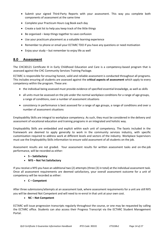- Submit your signed Third-Party Reports with your assessment. This way you complete both components of assessment at the same time
- Complete your Practicum Hours Log Book each day
- Create a task list to help you keep track of the little things
- Be organised keep things together to save confusion
- Use your practicum placement as a valuable learning experience
- Remember to phone or email your ECTARC TDO if you have any questions or need motivation
- Enjoy your study but remember to enjoy life as well

#### **8.0 Assessment**

The CHC30121 Certificate III in Early Childhood Education and Care is a competency-based program that is assessed against the CHC Community Services Training Package.

ECTARC is responsible for ensuring honest, valid and reliable assessment is conducted throughout all programs. This includes ensuring all students are assessed against the **critical aspects of assessment** which apply to every competency within the program. These are:

- the individual being assessed must provide evidence of specified essential knowledge, as well as skills
- all units must be assessed on the job under the normal workplace conditions for a range of age groups, a range of conditions, over a number of assessment situations
- consistency in performance is best assessed for a range of age groups, a range of conditions and over a number of assessment situations

Employability Skills are integral to workplace competency. As such, they must be considered in the delivery and assessment of vocational education and training programs in an integrated and holistic way.

Employability Skills are embedded and explicit within each unit of competency. The facets included in the framework are deemed to apply generally to work in the community services industry, with specific customisation required to address work at different levels and sectors of the industry. Workplace Supervisors must use the Employability Skills information to ensure valid assessment of all students on the job.

Assessment results are not graded. Your assessment results for written assessment tasks and on-the-job performance, will be recorded as either:

- **S – Satisfactory**
- **NYS – Not Yet Satisfactory**

If you receive a NYS you have an additional two (2) attempts (three (3) in total) at the individual assessment task. Once all assessment requirements are deemed satisfactory, your overall assessment outcome for a unit of competency will be recorded as either:

#### • **C – Competent**

After three submissions/attempts at an assessment task, where assessment requirements for a unit are still NYS you will be deemed Not Competent and will need to re-enrol in that unit at your own cost.

#### • **NC – Not Competent**

ECTARC will issue progression transcripts regularly throughout the course, or one may be requested by calling the ECTARC office. Students can also access their Progress Transcript via the ECTARC Student Management Portal.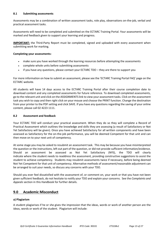#### **8.1 Submitting assessments**

Assessments may be a combination of written assessment tasks, role play, observations on-the-job, verbal and practical assessment tasks.

Assessments will need to be completed and submitted on the ECTARC Training Portal. Your assessments will be marked and feedback given to support your learning and progress.

**IMPORTANT:** the Third-Party Report must be completed, signed and uploaded with every assessment when submitting work for marking*.*

#### **Completing your assessments:**

- make sure you have worked through the learning resources before attempting the assessments
- complete whole units before submitting assessments
- if you have any questions, please contact your ECTARC TDO they are there to support you

For more information on how to submit an assessment, please see the 'ECTARC Training Portal FAQ' page on the ECTARC website.

All students will have 14 days access to the ECTARC Training Portal after their course completion date to download content and any completed assessments for future reference. To download completed assessments, go to the relevant unit and click on the ASSIGNMENTS link to view your assessment tasks. Click on the assessment task you wish to copy and then right click on your mouse and choose the PRINT function. Change the destination from your printer to the PDF setting and click SAVE. If you have any questions regarding the saving of your online content, please call 02 4223 1111.

#### **8.2 Assessment and feedback**

Your ECTARC TDO will conduct your practical assessment. When they do so they will complete a Record of Practical Assessment which outlines the knowledge and skills they are assessing (a result of Satisfactory or Not Yet Satisfactory will be given). Once you have achieved Satisfactory for all written components and have been assessed as Satisfactory for the on-the-job performance, you will be deemed Competent for that unit and can then move on to your next unit of competency.

At some stage you may be asked to resubmit an assessment task. This may be because you have misinterpreted the question or the instructions, left out part of the question, or did not provide sufficient information/evidence. Should an assessment be assessed as Not Yet Satisfactory (NYS), the TDO will clearly indicate where the student needs to readdress the assessment, providing constructive suggestions to assist the student to achieve competency. Students may resubmit assessments twice if necessary, before being deemed Not Yet Competent for that unit of competency. Alternative methods of assessment/reasonable adjustment can be arranged to suit your needs, so discuss any concerns with your TDO.

Should you ever feel dissatisfied with the assessment of, or comment on, your work or that you have not been given sufficient feedback, do not hesitate to notify your TDO and explain your concerns. See the *Complaints and Appeals* section in this Handbook for further details.

## **9.0 Academic Misconduct**

#### **a) Plagiarism**

A student plagiarises if he or she gives the impression that the ideas, words or work of another person are the ideas, words or work of the student. Plagiarism will include: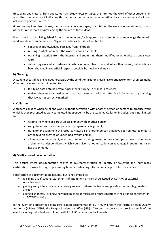(i) copying any material from books, journals, study notes or tapes, the Internet, the work of other students, or any other source without indicating this by quotation marks or by indentation, italics or spacing and without acknowledging that source, or

(ii) rephrasing ideas from books, journals, study notes or tapes, the Internet, the work of other students, or any other source without acknowledging the source of those ideas.

Plagiarism is to be distinguished from inadequate and/or inappropriate attempts to acknowledge the words, works or ideas of someone else. Plagiarism includes, but is not limited to:

- copying unacknowledged passages from textbooks;
- reusing in whole or in part the work of another student;
- obtaining materials from the Internet and submitting them, modified or otherwise, as one's own work;
- submitting work which is derived in whole or in part from the work of another person, but which has been changed in superficial respects possibly by mechanical means.

#### **b) Cheating**

A student cheats if he or she does not abide by the conditions set for a learning experience oritem of assessment. Cheating includes, but is not limited to:

- falsifying data obtained from experiments, surveys, or similar activities;
- making changes to an assignment that has been marked then returning it for re-marking claiming that it was not correctly marked.

#### **c) Collusion**

A student colludes when he or she works without permission with another person or persons to produce work which is then presented as work completed independently by the student. Collusion includes, but is not limited to:

- writing the whole or part of an assignment with another person;
- using the notes of another person to prepare an assignment;
- using for an assignment the resource materials of another person that have been annotated or parts of the text highlighted or underlined by that person;
- allowing another student, who has to submit an assignment on the same topic, access to one's own assignment under conditions which would give that other student an advantage in submitting his or her assignment.

#### **d) Falsification of documentation**

This occurs where documentation relates to misrepresentation of identity or falsifying the individual's certification or work history, or presenting false or misleading information in a portfolio of evidence.

Falsification of documentation includes, but is not limited to:

- falsifying qualifications, statements of attainment or transcripts issued by ECTARC or external organisations
- gaining entry into a course or receiving an award where the trainee/apprentice was not legitimately eligible
- acting dishonestly, or knowingly making false or misleading representations in relation to enrolment in an ECTARC activity

In the event of a student falsifying certification documentation, ECTARC will notify the Australian Skills Quality Authority (ASQA), DESBT, the Unique Student Identifier (USI) office and the police and provide details of the event including individual's enrolment with ECTARC personal contact details.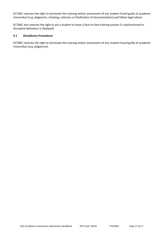ECTARC reserves the right to terminate the training and/or assessment of any student found guilty of academic misconduct (e.g. plagiarism, cheating, collusion or falsification of documentation) and follow legal advice.

ECTARC also reserves the right to ask a student to leave a face-to-face training session if a dysfunctional or disruptive behaviour is displayed.

#### **9.1 Disciplinary Procedures**

ECTARC reserves the right to terminate the training and/or assessment of any student found guilty of academic misconduct (e.g. plagiarism).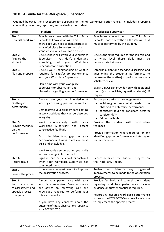## **10.0 A Guide for the Workplace Supervisor**

Outlined below is the procedure for observing on-the-job workplace performance. It includes preparing, conducting, recording, reporting, and reviewing the student.

| <b>Steps</b>                                                                          | <b>Student</b>                                                                                                                                                                                                                                                                       | <b>Workplace Supervisor</b>                                                                                                                                                                                                                                                   |
|---------------------------------------------------------------------------------------|--------------------------------------------------------------------------------------------------------------------------------------------------------------------------------------------------------------------------------------------------------------------------------------|-------------------------------------------------------------------------------------------------------------------------------------------------------------------------------------------------------------------------------------------------------------------------------|
| Step 1<br>Establish work role                                                         | Familiarise yourself with the Third-Party<br>Reports to know what skills and<br>knowledge you need to demonstrate to                                                                                                                                                                 | Familiarise yourself with the Third-Party<br>Reports - particularly the on-the-job skills that<br>must be performed by the student.                                                                                                                                           |
|                                                                                       | your Workplace Supervisor and the<br>standards to which you can do them.                                                                                                                                                                                                             |                                                                                                                                                                                                                                                                               |
| Step <sub>2</sub><br>Prepare the<br>student                                           | Discuss these skills with your Workplace<br>Supervisor. If you don't understand<br>something,<br>ask<br>your<br>Workplace<br>Supervisor for clarification.                                                                                                                           | Discuss the skills required for the job role and<br>what<br>level these<br>skills<br>must<br>be<br>to<br>demonstrated at work.                                                                                                                                                |
| Step 3<br>Plan and prepare                                                            | Discuss your understanding of what is<br>required for satisfactory performance<br>with your Workplace Supervisor.<br>Plan a time with your Workplace<br>Supervisor for observation and<br>discussion regarding your performance.                                                     | Establish a plan for observing, discussing, and<br>questioning the student's performance to<br>determine the on-the-job performance is at a<br>satisfactory level.<br>ECTARC TDOs can provide you with additional<br>tools (e.g. checklists, question sheets) if<br>required. |
| Step 4<br>On-the-job<br>performance                                                   | Demonstrate your full knowledge at<br>work by answering questions correctly.<br>Demonstrate your skills by participating<br>in work activities that can be observed<br>every day.                                                                                                    | Ensure your performance judgement is:<br>valid (e.g. observe what needs to be<br>observed to determine performance)<br>consistent (did the candidate perform<br>consistently?)<br>• fair and reliable                                                                         |
| Step 5<br>Provide feedback<br>on the<br>performance                                   | Work<br>cooperatively<br>with<br>your<br>Supervisor<br>Workplace<br>accept<br>and<br>constructive feedback.<br>Assist in identifying gaps in your<br>performance and ways to achieve these<br>skills and knowledge.<br>Work towards demonstrating your skills                        | Provide the<br>student<br>with<br>constructive<br>feedback.<br>Provide information, where required, on any<br>identified gaps in performance and strategies<br>for improvement.                                                                                               |
| Step 6<br>Record result                                                               | and knowledge in further units.<br>Sign the Third-Party Report for each unit<br>when your Workplace Supervisor has<br>completed them.                                                                                                                                                | Record details of the student's progress on<br>the Third-Party Report.                                                                                                                                                                                                        |
| Step 7<br>Review the process                                                          | If necessary, suggest ways to improve<br>the observation process.                                                                                                                                                                                                                    | identify<br>Review<br>and<br>suggested<br>any<br>improvements to be made to the observation<br>process.                                                                                                                                                                       |
| Step 8<br>Participate in the<br>re-assessment and<br>appeals process<br>(if required) | Discuss your performance with your<br>workplace supervisor. Seek assistance<br>and advice on improving skills and<br>knowledge required to perform your<br>role satisfactorily.<br>If you have any concerns about the<br>outcome of these observations, speak to<br>your ECTARC TDO. | Provide feedback and counsel the student<br>regarding workplace performance. Include<br>guidance on further practice if required.<br>Report any disputed workplace performance<br>issues to the ECTARC TDO - who will assist you<br>to implement the appeals process.         |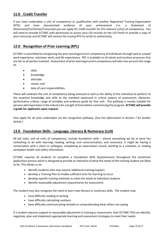## **11.0 Credit Transfer**

If you have undertaken a unit of competency or qualification with another Registered Training Organisation (RTO) and have documented evidence of your achievement (i.e. a Statement of Attainment/Certificate/Transcript) you can apply for credit transfer for the relevant unit(s) of competency. You will need to provide ECTARC with permission to access your USI records on the USI Portal or provide a copy of your transcript and ECTARC will contact the issuing RTO to verify its authenticity.

## **12.0 Recognition of Prior Learning (RPL)**

ECTARC is committed to recognising the prior learning/current competency of individuals through paid or unpaid work experience, volunteer work, and life experiences. RPL is available to all clients and involves processes that are fair to all parties involved. Assessment of prior learning/current competency will take into account the range of:

- skills
- knowledge
- attitudes
- values, and
- duty of care responsibilities

These will underpin the unit of competency being assessed as well as the ability of the individual to perform to the essential knowledge and skills to the standard expressed in critical aspects of assessment, elements, performance criteria, range of variables and evidence guide for that unit. This pathway is mostly suitable for persons who have been in the industry for a length of time before commencing the program. **ECTARC will provide a guide for applicants upon request.**

Fees apply for all units undertaken via the recognition pathway. (*See Fee Information in Section 7 for further details.)*

## **13.0 Foundation Skills - Language, Literacy & Numeracy (LLN)**

All job tasks, and all units of competency, include foundation skills – almost everything we do at work has something to do with learning, reading, writing, oral communication, and numeracy. It might be having a conversation with a client or colleague, completing an observation record, working to a schedule, or reading workplace health and safety information.

ECTARC requires all students to complete a Foundation Skills Questionnaire throughout the enrolment application process which is designed to provide an indication of what the needs of the training student are likely to be. This allows us to:

- identify students who may require additional training/support
- develop a Training Plan to enable sufficient time for learning to occur
- develop specific training methods to meet the needs of individual students
- identify reasonable adjustment requirements for assessment.

The student may also recognise the need to learn new literacy or numeracy skills. The student may:

- have difficulty reading or writing
- have difficulty calculating numbers
- have difficulty communicating verbally or comprehending what others are saying.

If a student requires support or reasonable adjustment in training or assessment, their ECTARC TDO can identify, negotiate, plan and implement appropriate learning and assessment strategies to meet their needs.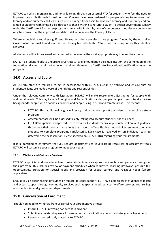ECTARC can assist in organising additional learning through an external RTO for students who feel the need to improve their skills through formal courses. Courses have been designed for people wishing to improve their literacy and/or numeracy skills. Courses offered range from basic to advanced literacy and numeracy and are aimed at students with limited skills through to those wishing to return to study. To attract government subsidy under the Certificate 3 Guarantee program to assist with LLN skills, units of competency, modules or courses can only be drawn from the approved foundation skills courses on the Priority Skills List.

Where an individual requires significant LLN support, there are alternative programs funded by the Australian Government that exist to address this need for eligible individuals. ECTARC will discuss options with students if required.

All students will be interviewed and assessed to determine the most appropriate way to meet their needs.

**NOTE***:* if a student needs to undertake a Certificate level III foundation skills qualification, the completion of the foundation skills course will not extinguish their entitlement to a Certificate III vocational qualification under the program.

## **14.0 Access and Equity**

All ECTARC staff are required to act in accordance with ECTARC's *Code of Practice* and ensure that all students/clients are made aware of their rights and responsibilities.

Under the relevant Commonwealth legislation*,* ECTARC will make reasonable adjustments for people with additional needs. This may include Aboriginal and Torres Strait Islander people, people from culturally diverse backgrounds, people with disabilities, women and people living in rural and remote areas. This means:

- ECTARC offers additional language, literacy and numeracy support to students that enrol in a study program
- Assessment tasks will be assessed flexibly, taking into account student's specific needs
- ECTARC has policies and procedures to ensure all students receive appropriate welfare and guidance throughout their program. All efforts are made to offer a flexible method of assessment to enable students to complete programs satisfactorily. Each case is reviewed on an individual basis to determine the best solution. Please speak to an ECTARC TDO regarding your requirements.

If it is identified at enrolment that you require adjustments to your learning resources or assessment tools ECTARC will customise your program to meet your needs.

#### **14.1 Welfare and Guidance Services**

ECTARC has policies and procedures to ensure all students receive appropriate welfare and guidance throughout their program. This includes review of payment schedules when requested, learning pathways, possible RPL opportunities, provision for special needs and provision for special cultural and religious needs (where applicable).

Should you be experiencing difficulties or require personal support, ECTARC is able to assist students to locate and access support through community services such as special needs services, welfare services, counselling, advisory bodies and government departments.

## **15.0 Cancellation of Enrolment**

Should you need to withdraw from or cancel your enrolment you must:

- Inform ECTARC in writing two weeks in advance
- Submit any outstanding work for assessment this will allow you to maximise your achievements
- Return all unused study materials to ECTARC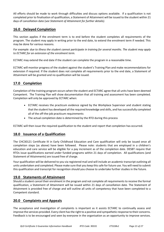All efforts should be made to work through difficulties and discuss options available. If a qualification is not completed prior to finalisation of qualification, a Statement of Attainment will be issued to the student within 21 days of cancellation date (s*ee Statement of Attainment for further details).*

## **16.0 Delayed Completion**

This section applies if the enrolment term is to end before the student completes all requirements of the program. The student may apply in writing prior to the end date, to extend the enrolment term if needed. This may be done for various reasons.

*For example: due to illness the student cannot participate in training for several months. The student may apply to ECTARC for an extension of the enrolment term.*

ECTARC may extend the end date if the student can complete the program in a reasonable time.

ECTARC will monitor progress of the student against the student's Training Plan and make recommendations for extension if required. If the student does not complete all requirements prior to the end date, a Statement of Attainment will be granted and no qualification will be issued.

## **17.0 Completion**

Completion of the training program occurs when the student and ECTARC agree that all units have been deemed Competent. The Training Plan will show documentation that all training and assessment has been completed. Completion will only be approved by ECTARC when:

- ECTARC receives the practicum evidence signed by the Workplace Supervisor and student stating that the student has developed all the required knowledge and skills, and has successfully completed all of the off-the-job practicum requirements
- The actual completion date is determined by the RTO during this process

ECTARC will then issue the required qualification to the student and report that completion has occurred.

## **18.0 Issuance of a Qualification**

The CHC30121 Certificate III in Early Childhood Education and Care qualification will only be issued once all completion steps (as above) have been followed. Please note: students that are employed in a children's education and care service will be eligible for a pay increment as of the completion date. DESBT require that RTOs issue qualifications earned under funded programs within 21 days of completion. All qualifications (and Statement of Attainments) are issued free of charge.

Your qualification will be delivered to you via registered mail and will include an academic transcript outlining all units undertaken and completed. Please make sure that you keep this safe for future use. You will need to submit this qualification and transcript for recognition should you choose to undertake further studies in the future.

## **19.0 Statements of Attainment**

Should a student cancel their enrolment in the program and not complete all requirements to receive the formal qualification, a Statement of Attainment will be issued within 21 days of cancellation date. The Statement of Attainment is provided free of charge and will outline all units of competency that have been completed to a Competent standard.

## **20.0 Complaints and Appeals**

The acceptance and investigation of complaints is important as it assists ECTARC to continually assess and improve the services provided. Every client has the right to a positive and sympathetic response to their concerns. Feedback is to be encouraged and seen by everyone in the organisation as an opportunity to improve services.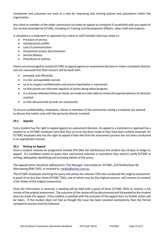Complaints and outcomes are used as a tool for improving and revising policies and procedures within the organisation.

Any client or member of the wider community can make an appeal or complaint if unsatisfied with any aspect of the services provided by ECTARC, including its Training and Development Officers, other staff and students.

A complaint is a statement or approach by a client or staff member that may relate to:

- Provision of service
- Interpersonal conflict
- Lack of communication
- Harassment and/or discrimination
- Service delivery
- Procedures or policies

Clients are encouraged to contact ECTARC to appeal against an assessment decision or make a complaint directly, and are reassured that their concern will be dealt with:

- promptly and efficiently
- in a fair and equitable manner
- so as to respect confidentiality and ensure impartiality is maintained
- so that parties are informed regularly of action being taken/progress
- in a manner whereby follow up checks are made at a later date to review the appropriateness of solutions reached
- so that documented records are maintained

To ensure confidentiality, employees, clients or members of the community raising a complaint are advised to discuss the matter only with the person(s) directly involved.

#### **20.1 Appeals**

Every student has the right to appeal against an assessment decision. An appeal is a statement or approach by a student to an ECTARC employee who feels that an error has been made or they have been unfairly assessed. An ECTARC employee also has the right to appeal if they feel that the assessment process has not been conducted in an appropriate manner.

#### **20.2 Raising an Appeal**

Once a student receives an assignment marked NYS (Not Yet Satisfactory) the student has 14 days to lodge an appeal. If a candidate wishes to query their assessment outcome or procedure they need to notify ECTARC in writing, adequately identifying and providing details of the query.

The appeals letter should be addressed to 'The Manager' and mailed to: ECTARC, 210 Shellharbour Rd Warrawong NSW 2502, or emailed to[: natalie@ectarc.com.au](mailto:natalie@ectarc.com.au)

The ECTARC employee receiving the query will advise the relevant TDO who conducted the original assessment. A panel of no less than three ECTARC TDOs, one of whom may be the original assessor, will convene to conduct a full review of the original assessment.

Once the information is received, a meeting will be held with a panel of three ECTARC TDOs to conduct a full review of the original assessment. The outcome of the review will be documented and forwarded to the student who has made the appeal. If the student is satisfied with the outcome of the appeal then no further action will be taken. If the student does not feel as though the issue has been resolved satisfactorily then the formal complaints process must be followed.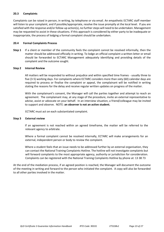#### **20.3 Complaints**

Complaints can be raised in person, in writing, by telephone or via email. An empathetic ECTARC staff member will listen to your complaint, and if possible/appropriate, resolve the issue promptly at the local level. If you are satisfied with the response and/or follow-up action(s), no further steps will need to be undertaken. Management may be requested to assist in these situations. If this approach is considered by either party to be inadequate or inappropriate, the process of lodging a formal complaint should be undertaken.

#### **20.4 Formal Complaints Process**

**Step 1** If a client or member of the community feels the complaint cannot be resolved informally, then the matter should be addressed officially in writing. To lodge an official complaint a written letter or email should be forwarded to ECTARC Management adequately identifying and providing details of the complaint and the outcome sought.

#### **Step 2 Internal Review**

All matters will be responded to without prejudice and within specified time frames - usually three to five (3-5) working days. For complaints where ECTARC considers more than sixty (60) calendar days are required to process or finalise the complaint or appeal, the complainant will be notified in writing stating the reasons for the delay and receive regular written updates on progress of the matter.

With the complainant's consent, the Manager will call the parties together and attempt to reach an agreement. The complainant may, at any stage of the procedure, invite an external representative to advise, assist or advocate on your behalf. In an interview situation, a friend/colleague may be invited to support and observe. NOTE: **an observer is not an active student.**

ECTARC must act on each substantiated complaint.

#### **Step 3 External review**

If an agreement is not reached within an agreed timeframe, the matter will be referred to the relevant agency to arbitrate.

Where a formal complaint cannot be resolved internally, ECTARC will make arrangements for an external, independent person or body to review the complaint.

Where a student feels that an issue needs to be addressed further by an external organisation, they can contact the National Training Complaints Hotline. The hotline will not investigate complaints but will forward complaints to the most appropriate agency, authority or jurisdiction for consideration. Complaints can be registered with the National Training Complaints Hotline by phone at: 13 38 73

At the end of the mediation process, if an agreed position is reached, the Manager will document the outcome of the meeting in writing and forward to the person who initiated the complaint. A copy will also be forwarded to all other parties involved in the matter.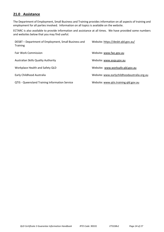## **21.0 Assistance**

The Department of Employment, Small Business and Training provides information on all aspects of training and employment for all parties involved. Information on all topics is available on the website.

ECTARC is also available to provide information and assistance at all times. We have provided some numbers and websites below that you may find useful.

| DESBT - Department of Employment, Small Business and<br><b>Training</b> | Website: https://desbt.qld.gov.au/          |
|-------------------------------------------------------------------------|---------------------------------------------|
| <b>Fair Work Commission</b>                                             | Website: www.fwc.gov.au                     |
| Australian Skills Quality Authority                                     | Website: www.asga.gov.au                    |
| Workplace Health and Safety QLD                                         | Website: www.worksafe.gld.gov.au            |
| Early Childhood Australia                                               | Website: www.earlychildhoodaustralia.org.au |
| <b>QTIS - Queensland Training Information Service</b>                   | Website: www.qtis.training.qld.gov.au       |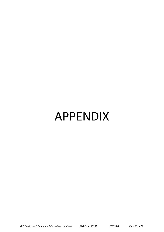# APPENDIX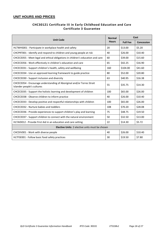## **UNIT HOURS AND PRICES**

## **CHC30121 Certificate III in Early Childhood Education and Care Certificate 3 Guarantee**

|                                                                                                      | <b>Normal</b> | Cost            |                   |
|------------------------------------------------------------------------------------------------------|---------------|-----------------|-------------------|
| <b>Unit Code</b>                                                                                     |               | <b>Full Fee</b> | <b>Concession</b> |
| HLTWHS001 - Participate in workplace health and safety                                               | 20            | \$13.00         | \$5.20            |
| CHCPRT001 - Identify and respond to children and young people at risk                                | 40            | \$26.00         | \$10.40           |
| CHCECE055 - Meet legal and ethical obligations in children's education and care                      | 60            | \$39.00         | \$15.60           |
| CHCECE056 - Work effectively in children's education and care                                        | 65            | \$42.25         | \$16.90           |
| CHCECE031 - Support children's health, safety and wellbeing                                          | 160           | \$104.00        | \$41.60           |
| CHCECE034 - Use an approved learning framework to guide practice                                     | 80            | \$52.00         | \$20.80           |
| CHCECE030 - Support inclusion and diversity                                                          | 63            | \$40.95         | \$16.38           |
| CHCECE054 - Encourage understanding of Aboriginal and/or Torres Strait<br>Islander people's cultures | 55            | \$35.75         | \$14.30           |
| CHCECE035 - Support the holistic learning and development of children                                | 100           | \$65.00         | \$26.00           |
| CHCECE038 - Observe children to inform practice                                                      | 40            | \$26.00         | \$10.40           |
| CHCECE033 - Develop positive and respectful relationships with children                              | 100           | \$65.00         | \$26.00           |
| CHCECE032 - Nurture babies and toddlers                                                              | 108           | \$70.20         | \$28.08           |
| CHCECE036 - Provide experiences to support children's play and learning                              | 75            | \$48.75         | \$19.50           |
| CHCECE037 - Support children to connect with the natural environment                                 | 50            | \$32.50         | \$13.00           |
| HLTAID012 - Provide First Aid in an education and care setting                                       | 22            | \$14.30         | \$5.72            |
| <b>Elective Units: 2 elective units must be chosen</b>                                               |               |                 |                   |
| CHCDIV001 - Work with diverse people                                                                 | 40            | \$26.00         | \$10.40           |
| HLTFSE001 - Follow basic food safety practices                                                       | 30            | \$19.50         | \$7.80            |